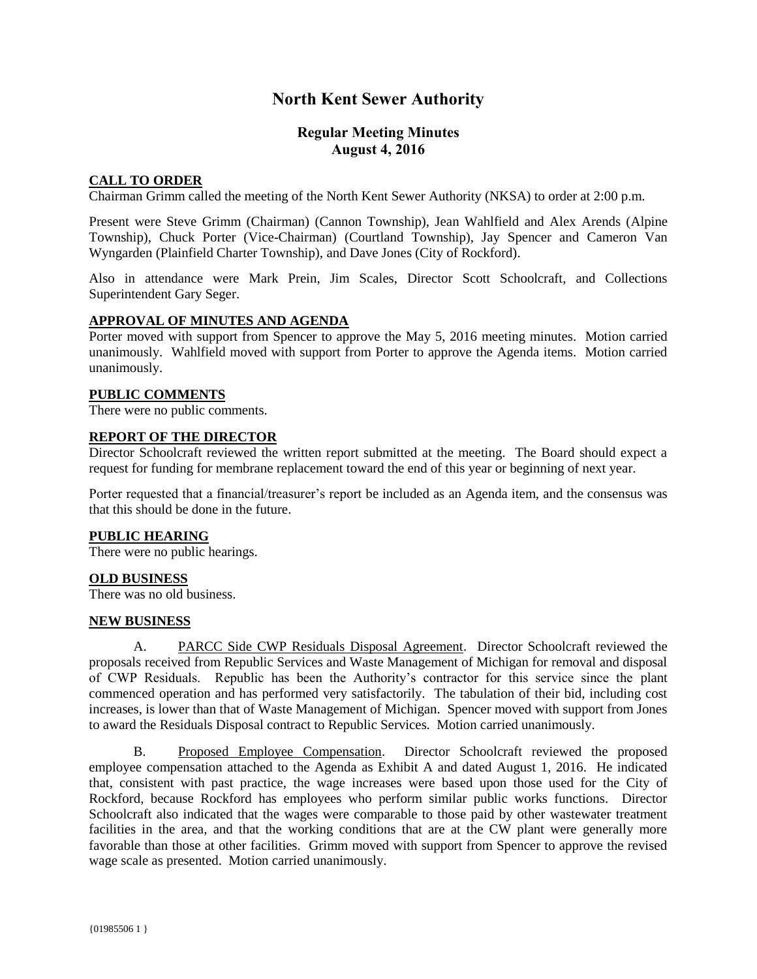# **North Kent Sewer Authority**

# **Regular Meeting Minutes August 4, 2016**

## **CALL TO ORDER**

Chairman Grimm called the meeting of the North Kent Sewer Authority (NKSA) to order at 2:00 p.m.

Present were Steve Grimm (Chairman) (Cannon Township), Jean Wahlfield and Alex Arends (Alpine Township), Chuck Porter (Vice-Chairman) (Courtland Township), Jay Spencer and Cameron Van Wyngarden (Plainfield Charter Township), and Dave Jones (City of Rockford).

Also in attendance were Mark Prein, Jim Scales, Director Scott Schoolcraft, and Collections Superintendent Gary Seger.

## **APPROVAL OF MINUTES AND AGENDA**

Porter moved with support from Spencer to approve the May 5, 2016 meeting minutes. Motion carried unanimously. Wahlfield moved with support from Porter to approve the Agenda items. Motion carried unanimously.

#### **PUBLIC COMMENTS**

There were no public comments.

## **REPORT OF THE DIRECTOR**

Director Schoolcraft reviewed the written report submitted at the meeting. The Board should expect a request for funding for membrane replacement toward the end of this year or beginning of next year.

Porter requested that a financial/treasurer's report be included as an Agenda item, and the consensus was that this should be done in the future.

## **PUBLIC HEARING**

There were no public hearings.

## **OLD BUSINESS**

There was no old business.

#### **NEW BUSINESS**

A. PARCC Side CWP Residuals Disposal Agreement. Director Schoolcraft reviewed the proposals received from Republic Services and Waste Management of Michigan for removal and disposal of CWP Residuals. Republic has been the Authority's contractor for this service since the plant commenced operation and has performed very satisfactorily. The tabulation of their bid, including cost increases, is lower than that of Waste Management of Michigan. Spencer moved with support from Jones to award the Residuals Disposal contract to Republic Services. Motion carried unanimously.

B. Proposed Employee Compensation. Director Schoolcraft reviewed the proposed employee compensation attached to the Agenda as Exhibit A and dated August 1, 2016. He indicated that, consistent with past practice, the wage increases were based upon those used for the City of Rockford, because Rockford has employees who perform similar public works functions. Director Schoolcraft also indicated that the wages were comparable to those paid by other wastewater treatment facilities in the area, and that the working conditions that are at the CW plant were generally more favorable than those at other facilities. Grimm moved with support from Spencer to approve the revised wage scale as presented. Motion carried unanimously.